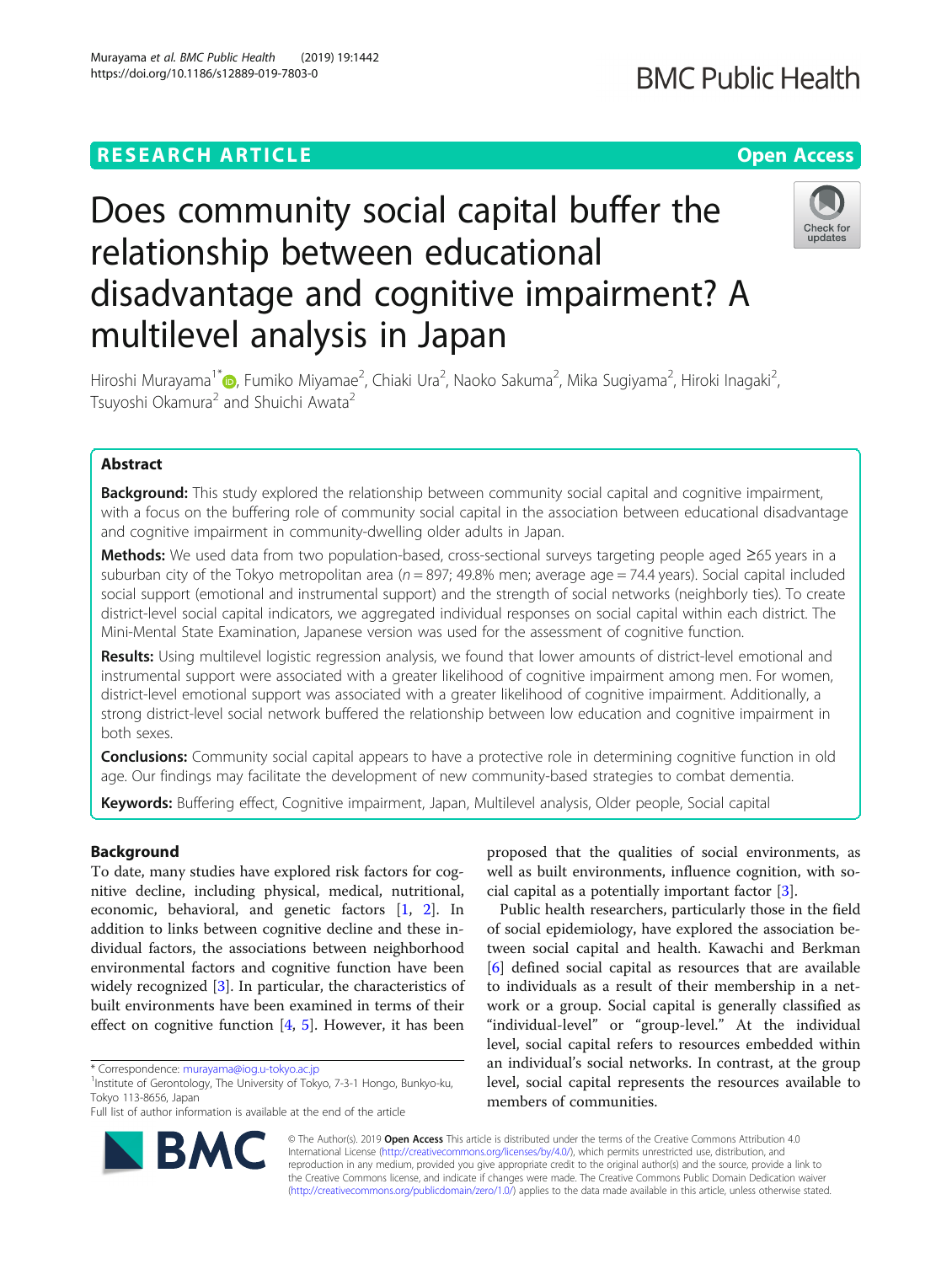https://doi.org/10.1186/s12889-019-7803-0

Murayama et al. BMC Public Health (2019) 19:1442

# **BMC Public Health**

# Does community social capital buffer the relationship between educational disadvantage and cognitive impairment? A multilevel analysis in Japan



Hiroshi Murayama<sup>1\*</sup>@[,](http://orcid.org/0000-0003-2991-7763) Fumiko Miyamae<sup>2</sup>, Chiaki Ura<sup>2</sup>, Naoko Sakuma<sup>2</sup>, Mika Sugiyama<sup>2</sup>, Hiroki Inagaki<sup>2</sup> , Tsuyoshi Okamura<sup>2</sup> and Shuichi Awata<sup>2</sup>

# Abstract

**Background:** This study explored the relationship between community social capital and cognitive impairment, with a focus on the buffering role of community social capital in the association between educational disadvantage and cognitive impairment in community-dwelling older adults in Japan.

Methods: We used data from two population-based, cross-sectional surveys targeting people aged ≥65 years in a suburban city of the Tokyo metropolitan area ( $n = 897$ ; 49.8% men; average age = 74.4 years). Social capital included social support (emotional and instrumental support) and the strength of social networks (neighborly ties). To create district-level social capital indicators, we aggregated individual responses on social capital within each district. The Mini-Mental State Examination, Japanese version was used for the assessment of cognitive function.

Results: Using multilevel logistic regression analysis, we found that lower amounts of district-level emotional and instrumental support were associated with a greater likelihood of cognitive impairment among men. For women, district-level emotional support was associated with a greater likelihood of cognitive impairment. Additionally, a strong district-level social network buffered the relationship between low education and cognitive impairment in both sexes.

**Conclusions:** Community social capital appears to have a protective role in determining cognitive function in old age. Our findings may facilitate the development of new community-based strategies to combat dementia.

Keywords: Buffering effect, Cognitive impairment, Japan, Multilevel analysis, Older people, Social capital

# Background

To date, many studies have explored risk factors for cognitive decline, including physical, medical, nutritional, economic, behavioral, and genetic factors [\[1,](#page-11-0) [2\]](#page-11-0). In addition to links between cognitive decline and these individual factors, the associations between neighborhood environmental factors and cognitive function have been widely recognized [\[3\]](#page-11-0). In particular, the characteristics of built environments have been examined in terms of their effect on cognitive function [[4,](#page-11-0) [5\]](#page-11-0). However, it has been



Public health researchers, particularly those in the field of social epidemiology, have explored the association between social capital and health. Kawachi and Berkman [[6\]](#page-11-0) defined social capital as resources that are available to individuals as a result of their membership in a network or a group. Social capital is generally classified as "individual-level" or "group-level." At the individual level, social capital refers to resources embedded within an individual's social networks. In contrast, at the group level, social capital represents the resources available to members of communities.



© The Author(s). 2019 **Open Access** This article is distributed under the terms of the Creative Commons Attribution 4.0 International License [\(http://creativecommons.org/licenses/by/4.0/](http://creativecommons.org/licenses/by/4.0/)), which permits unrestricted use, distribution, and reproduction in any medium, provided you give appropriate credit to the original author(s) and the source, provide a link to the Creative Commons license, and indicate if changes were made. The Creative Commons Public Domain Dedication waiver [\(http://creativecommons.org/publicdomain/zero/1.0/](http://creativecommons.org/publicdomain/zero/1.0/)) applies to the data made available in this article, unless otherwise stated.

<sup>\*</sup> Correspondence: [murayama@iog.u-tokyo.ac.jp](mailto:murayama@iog.u-tokyo.ac.jp) <sup>1</sup>

<sup>&</sup>lt;sup>1</sup>Institute of Gerontology, The University of Tokyo, 7-3-1 Hongo, Bunkyo-ku, Tokyo 113-8656, Japan

Full list of author information is available at the end of the article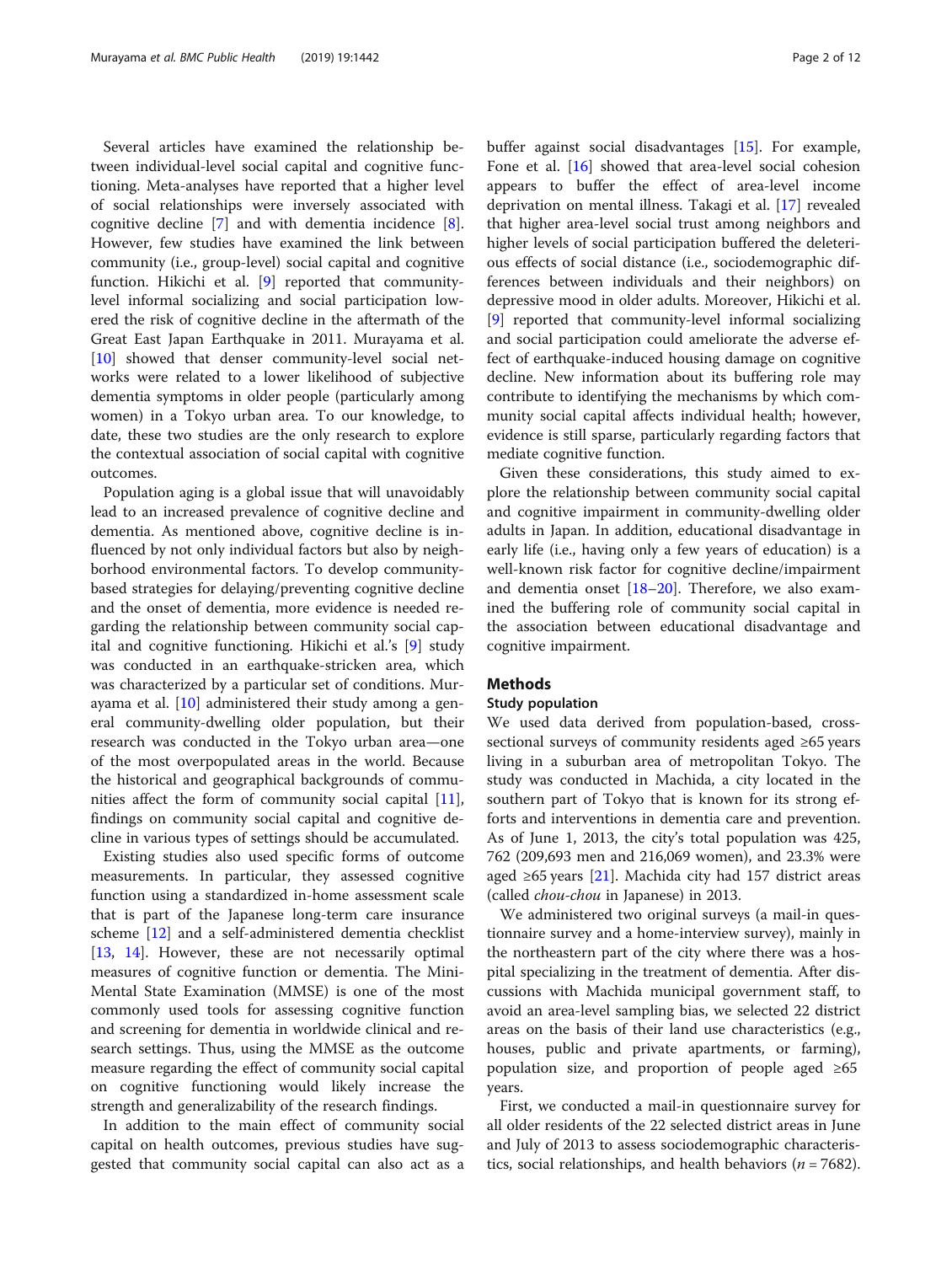Several articles have examined the relationship between individual-level social capital and cognitive functioning. Meta-analyses have reported that a higher level of social relationships were inversely associated with cognitive decline [\[7](#page-11-0)] and with dementia incidence [\[8](#page-11-0)]. However, few studies have examined the link between community (i.e., group-level) social capital and cognitive function. Hikichi et al. [[9\]](#page-11-0) reported that communitylevel informal socializing and social participation lowered the risk of cognitive decline in the aftermath of the Great East Japan Earthquake in 2011. Murayama et al. [[10\]](#page-11-0) showed that denser community-level social networks were related to a lower likelihood of subjective dementia symptoms in older people (particularly among women) in a Tokyo urban area. To our knowledge, to date, these two studies are the only research to explore the contextual association of social capital with cognitive outcomes.

Population aging is a global issue that will unavoidably lead to an increased prevalence of cognitive decline and dementia. As mentioned above, cognitive decline is influenced by not only individual factors but also by neighborhood environmental factors. To develop communitybased strategies for delaying/preventing cognitive decline and the onset of dementia, more evidence is needed regarding the relationship between community social capital and cognitive functioning. Hikichi et al.'s [\[9](#page-11-0)] study was conducted in an earthquake-stricken area, which was characterized by a particular set of conditions. Murayama et al. [[10](#page-11-0)] administered their study among a general community-dwelling older population, but their research was conducted in the Tokyo urban area—one of the most overpopulated areas in the world. Because the historical and geographical backgrounds of communities affect the form of community social capital [\[11](#page-11-0)], findings on community social capital and cognitive decline in various types of settings should be accumulated.

Existing studies also used specific forms of outcome measurements. In particular, they assessed cognitive function using a standardized in-home assessment scale that is part of the Japanese long-term care insurance scheme [\[12](#page-11-0)] and a self-administered dementia checklist [[13,](#page-11-0) [14\]](#page-11-0). However, these are not necessarily optimal measures of cognitive function or dementia. The Mini-Mental State Examination (MMSE) is one of the most commonly used tools for assessing cognitive function and screening for dementia in worldwide clinical and research settings. Thus, using the MMSE as the outcome measure regarding the effect of community social capital on cognitive functioning would likely increase the strength and generalizability of the research findings.

In addition to the main effect of community social capital on health outcomes, previous studies have suggested that community social capital can also act as a buffer against social disadvantages [\[15\]](#page-11-0). For example, Fone et al. [\[16](#page-11-0)] showed that area-level social cohesion appears to buffer the effect of area-level income deprivation on mental illness. Takagi et al. [[17](#page-11-0)] revealed that higher area-level social trust among neighbors and higher levels of social participation buffered the deleterious effects of social distance (i.e., sociodemographic differences between individuals and their neighbors) on depressive mood in older adults. Moreover, Hikichi et al. [[9\]](#page-11-0) reported that community-level informal socializing and social participation could ameliorate the adverse effect of earthquake-induced housing damage on cognitive decline. New information about its buffering role may contribute to identifying the mechanisms by which community social capital affects individual health; however, evidence is still sparse, particularly regarding factors that mediate cognitive function.

Given these considerations, this study aimed to explore the relationship between community social capital and cognitive impairment in community-dwelling older adults in Japan. In addition, educational disadvantage in early life (i.e., having only a few years of education) is a well-known risk factor for cognitive decline/impairment and dementia onset  $[18–20]$  $[18–20]$  $[18–20]$  $[18–20]$ . Therefore, we also examined the buffering role of community social capital in the association between educational disadvantage and cognitive impairment.

# **Methods**

# Study population

We used data derived from population-based, crosssectional surveys of community residents aged ≥65 years living in a suburban area of metropolitan Tokyo. The study was conducted in Machida, a city located in the southern part of Tokyo that is known for its strong efforts and interventions in dementia care and prevention. As of June 1, 2013, the city's total population was 425, 762 (209,693 men and 216,069 women), and 23.3% were aged ≥65 years [\[21\]](#page-11-0). Machida city had 157 district areas (called chou-chou in Japanese) in 2013.

We administered two original surveys (a mail-in questionnaire survey and a home-interview survey), mainly in the northeastern part of the city where there was a hospital specializing in the treatment of dementia. After discussions with Machida municipal government staff, to avoid an area-level sampling bias, we selected 22 district areas on the basis of their land use characteristics (e.g., houses, public and private apartments, or farming), population size, and proportion of people aged ≥65 years.

First, we conducted a mail-in questionnaire survey for all older residents of the 22 selected district areas in June and July of 2013 to assess sociodemographic characteristics, social relationships, and health behaviors ( $n = 7682$ ).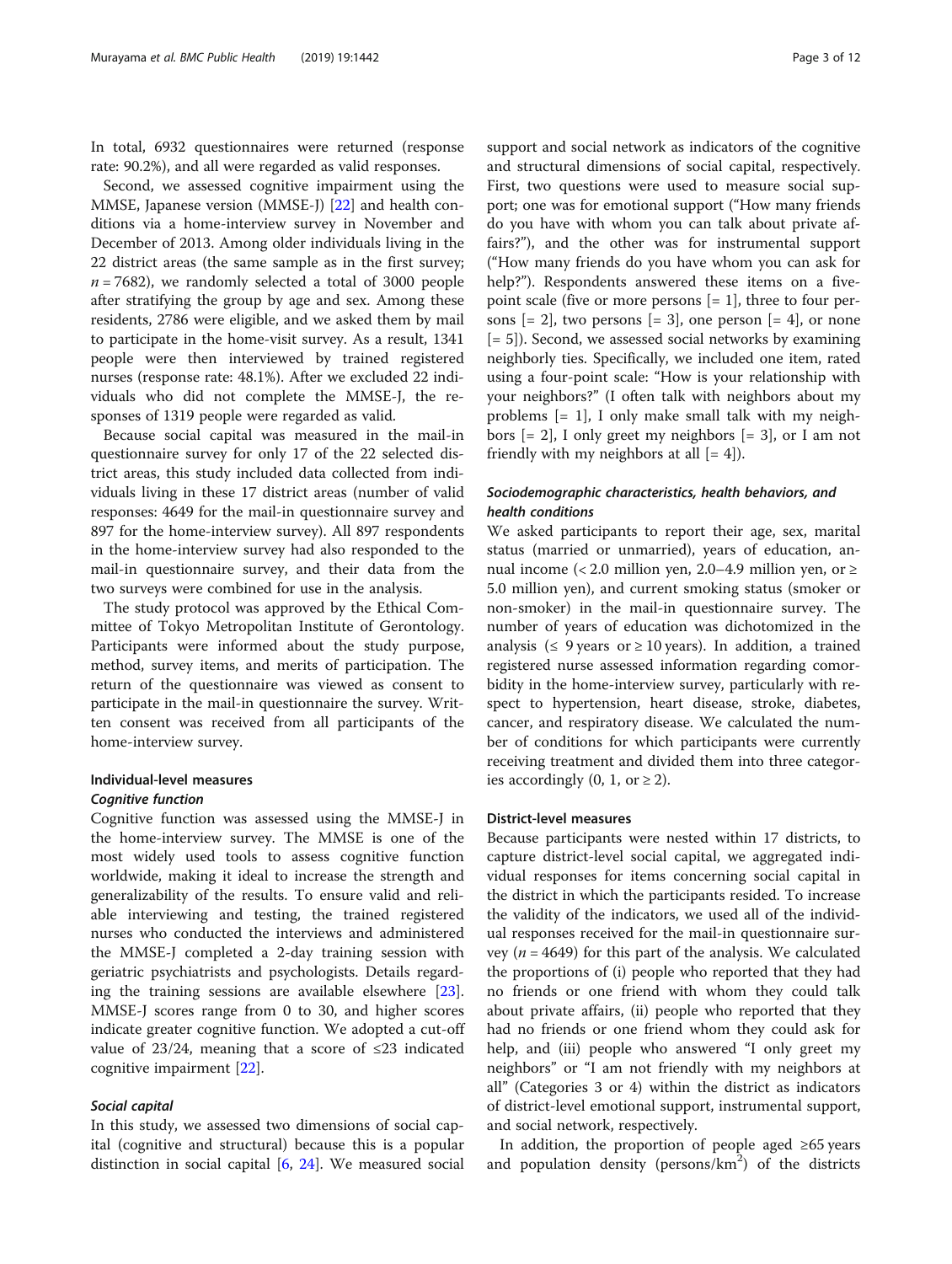In total, 6932 questionnaires were returned (response rate: 90.2%), and all were regarded as valid responses.

Second, we assessed cognitive impairment using the MMSE, Japanese version (MMSE-J) [\[22](#page-11-0)] and health conditions via a home-interview survey in November and December of 2013. Among older individuals living in the 22 district areas (the same sample as in the first survey;  $n = 7682$ ), we randomly selected a total of 3000 people after stratifying the group by age and sex. Among these residents, 2786 were eligible, and we asked them by mail to participate in the home-visit survey. As a result, 1341 people were then interviewed by trained registered nurses (response rate: 48.1%). After we excluded 22 individuals who did not complete the MMSE-J, the responses of 1319 people were regarded as valid.

Because social capital was measured in the mail-in questionnaire survey for only 17 of the 22 selected district areas, this study included data collected from individuals living in these 17 district areas (number of valid responses: 4649 for the mail-in questionnaire survey and 897 for the home-interview survey). All 897 respondents in the home-interview survey had also responded to the mail-in questionnaire survey, and their data from the two surveys were combined for use in the analysis.

The study protocol was approved by the Ethical Committee of Tokyo Metropolitan Institute of Gerontology. Participants were informed about the study purpose, method, survey items, and merits of participation. The return of the questionnaire was viewed as consent to participate in the mail-in questionnaire the survey. Written consent was received from all participants of the home-interview survey.

# Individual-level measures

# Cognitive function

Cognitive function was assessed using the MMSE-J in the home-interview survey. The MMSE is one of the most widely used tools to assess cognitive function worldwide, making it ideal to increase the strength and generalizability of the results. To ensure valid and reliable interviewing and testing, the trained registered nurses who conducted the interviews and administered the MMSE-J completed a 2-day training session with geriatric psychiatrists and psychologists. Details regarding the training sessions are available elsewhere [\[23](#page-11-0)]. MMSE-J scores range from 0 to 30, and higher scores indicate greater cognitive function. We adopted a cut-off value of  $23/24$ , meaning that a score of ≤23 indicated cognitive impairment [\[22](#page-11-0)].

# Social capital

In this study, we assessed two dimensions of social capital (cognitive and structural) because this is a popular distinction in social capital  $[6, 24]$  $[6, 24]$  $[6, 24]$  $[6, 24]$ . We measured social support and social network as indicators of the cognitive and structural dimensions of social capital, respectively. First, two questions were used to measure social support; one was for emotional support ("How many friends do you have with whom you can talk about private affairs?"), and the other was for instrumental support ("How many friends do you have whom you can ask for help?"). Respondents answered these items on a fivepoint scale (five or more persons  $[= 1]$ , three to four persons  $[= 2]$ , two persons  $[= 3]$ , one person  $[= 4]$ , or none  $[= 5]$ ). Second, we assessed social networks by examining neighborly ties. Specifically, we included one item, rated using a four-point scale: "How is your relationship with your neighbors?" (I often talk with neighbors about my problems  $[= 1]$ , I only make small talk with my neighbors [= 2], I only greet my neighbors [= 3], or I am not friendly with my neighbors at all  $[= 4]$ ).

# Sociodemographic characteristics, health behaviors, and health conditions

We asked participants to report their age, sex, marital status (married or unmarried), years of education, annual income (< 2.0 million yen, 2.0–4.9 million yen, or  $\ge$ 5.0 million yen), and current smoking status (smoker or non-smoker) in the mail-in questionnaire survey. The number of years of education was dichotomized in the analysis ( $\leq$  9 years or  $\geq$  10 years). In addition, a trained registered nurse assessed information regarding comorbidity in the home-interview survey, particularly with respect to hypertension, heart disease, stroke, diabetes, cancer, and respiratory disease. We calculated the number of conditions for which participants were currently receiving treatment and divided them into three categories accordingly  $(0, 1, \text{ or } \geq 2)$ .

# District-level measures

Because participants were nested within 17 districts, to capture district-level social capital, we aggregated individual responses for items concerning social capital in the district in which the participants resided. To increase the validity of the indicators, we used all of the individual responses received for the mail-in questionnaire survey ( $n = 4649$ ) for this part of the analysis. We calculated the proportions of (i) people who reported that they had no friends or one friend with whom they could talk about private affairs, (ii) people who reported that they had no friends or one friend whom they could ask for help, and (iii) people who answered "I only greet my neighbors" or "I am not friendly with my neighbors at all" (Categories 3 or 4) within the district as indicators of district-level emotional support, instrumental support, and social network, respectively.

In addition, the proportion of people aged ≥65 years and population density (persons/km<sup>2</sup>) of the districts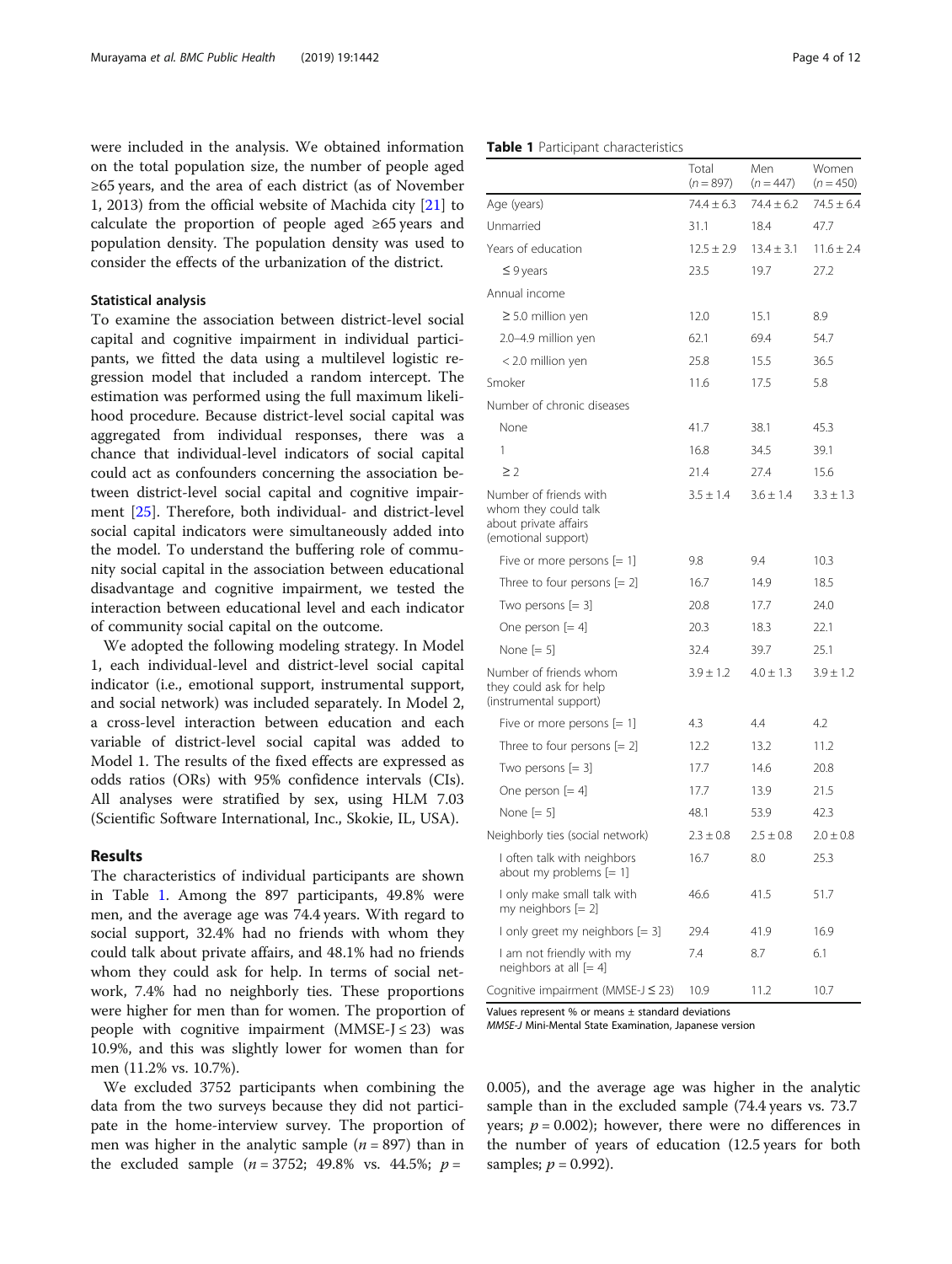were included in the analysis. We obtained information on the total population size, the number of people aged ≥65 years, and the area of each district (as of November 1, 2013) from the official website of Machida city [\[21\]](#page-11-0) to calculate the proportion of people aged ≥65 years and population density. The population density was used to consider the effects of the urbanization of the district.

# Statistical analysis

To examine the association between district-level social capital and cognitive impairment in individual participants, we fitted the data using a multilevel logistic regression model that included a random intercept. The estimation was performed using the full maximum likelihood procedure. Because district-level social capital was aggregated from individual responses, there was a chance that individual-level indicators of social capital could act as confounders concerning the association between district-level social capital and cognitive impairment [[25\]](#page-11-0). Therefore, both individual- and district-level social capital indicators were simultaneously added into the model. To understand the buffering role of community social capital in the association between educational disadvantage and cognitive impairment, we tested the interaction between educational level and each indicator of community social capital on the outcome.

We adopted the following modeling strategy. In Model 1, each individual-level and district-level social capital indicator (i.e., emotional support, instrumental support, and social network) was included separately. In Model 2, a cross-level interaction between education and each variable of district-level social capital was added to Model 1. The results of the fixed effects are expressed as odds ratios (ORs) with 95% confidence intervals (CIs). All analyses were stratified by sex, using HLM 7.03 (Scientific Software International, Inc., Skokie, IL, USA).

# Results

The characteristics of individual participants are shown in Table 1. Among the 897 participants, 49.8% were men, and the average age was 74.4 years. With regard to social support, 32.4% had no friends with whom they could talk about private affairs, and 48.1% had no friends whom they could ask for help. In terms of social network, 7.4% had no neighborly ties. These proportions were higher for men than for women. The proportion of people with cognitive impairment  $(MMSE-J \leq 23)$  was 10.9%, and this was slightly lower for women than for men (11.2% vs. 10.7%).

We excluded 3752 participants when combining the data from the two surveys because they did not participate in the home-interview survey. The proportion of men was higher in the analytic sample  $(n = 897)$  than in the excluded sample ( $n = 3752$ ; 49.8% vs. 44.5%;  $p =$ 

|                                                                                                | $(n = 897)$    | $(n = 447)$    | $(n = 450)$    |
|------------------------------------------------------------------------------------------------|----------------|----------------|----------------|
| Age (years)                                                                                    | $74.4 \pm 6.3$ | $74.4 \pm 6.2$ | $74.5 \pm 6.4$ |
| Unmarried                                                                                      | 31.1           | 18.4           | 47.7           |
| Years of education                                                                             | $12.5 \pm 2.9$ | $13.4 \pm 3.1$ | $11.6 \pm 2.4$ |
| $\leq$ 9 years                                                                                 | 23.5           | 19.7           | 27.2           |
| Annual income                                                                                  |                |                |                |
| $\geq$ 5.0 million yen                                                                         | 12.0           | 15.1           | 8.9            |
| 2.0-4.9 million yen                                                                            | 62.1           | 69.4           | 54.7           |
| < 2.0 million yen                                                                              | 25.8           | 15.5           | 36.5           |
| Smoker                                                                                         | 11.6           | 17.5           | 5.8            |
| Number of chronic diseases                                                                     |                |                |                |
| None                                                                                           | 41.7           | 38.1           | 45.3           |
| 1                                                                                              | 16.8           | 34.5           | 39.1           |
| $\geq$ 2                                                                                       | 21.4           | 27.4           | 15.6           |
| Number of friends with<br>whom they could talk<br>about private affairs<br>(emotional support) | $3.5 \pm 1.4$  | $3.6 \pm 1.4$  | $3.3 \pm 1.3$  |
| Five or more persons $[= 1]$                                                                   | 9.8            | 9.4            | 10.3           |
| Three to four persons $[= 2]$                                                                  | 16.7           | 14.9           | 18.5           |
| Two persons $[= 3]$                                                                            | 20.8           | 17.7           | 24.0           |
| One person $[= 4]$                                                                             | 20.3           | 18.3           | 22.1           |
| None $[= 5]$                                                                                   | 32.4           | 39.7           | 25.1           |
| Number of friends whom<br>they could ask for help<br>(instrumental support)                    | $3.9 \pm 1.2$  | $4.0 \pm 1.3$  | $3.9 \pm 1.2$  |
| Five or more persons $[= 1]$                                                                   | 4.3            | 4.4            | 4.2            |
| Three to four persons $[= 2]$                                                                  | 12.2           | 13.2           | 11.2           |
| Two persons $[= 3]$                                                                            | 17.7           | 14.6           | 20.8           |
| One person $[= 4]$                                                                             | 17.7           | 13.9           | 21.5           |
| None $[= 5]$                                                                                   | 48.1           | 53.9           | 42.3           |
| Neighborly ties (social network)                                                               | $2.3 \pm 0.8$  | $2.5 \pm 0.8$  | $2.0 \pm 0.8$  |
| I often talk with neighbors<br>about my problems $[= 1]$                                       | 16.7           | 8.0            | 25.3           |
| I only make small talk with<br>my neighbors $[= 2]$                                            | 46.6           | 41.5           | 51.7           |
| I only greet my neighbors $[= 3]$                                                              | 29.4           | 41.9           | 16.9           |
| I am not friendly with my<br>neighbors at all [= 4]                                            | 7.4            | 8.7            | 6.1            |

Total

Men

Values represent % or means ± standard deviations

MMSE-J Mini-Mental State Examination, Japanese version

0.005), and the average age was higher in the analytic sample than in the excluded sample (74.4 years vs. 73.7 years;  $p = 0.002$ ); however, there were no differences in the number of years of education (12.5 years for both samples;  $p = 0.992$ ).

Cognitive impairment (MMSE-J  $\leq$  23) 10.9 11.2 10.7

Women

#### Table 1 Participant characteristics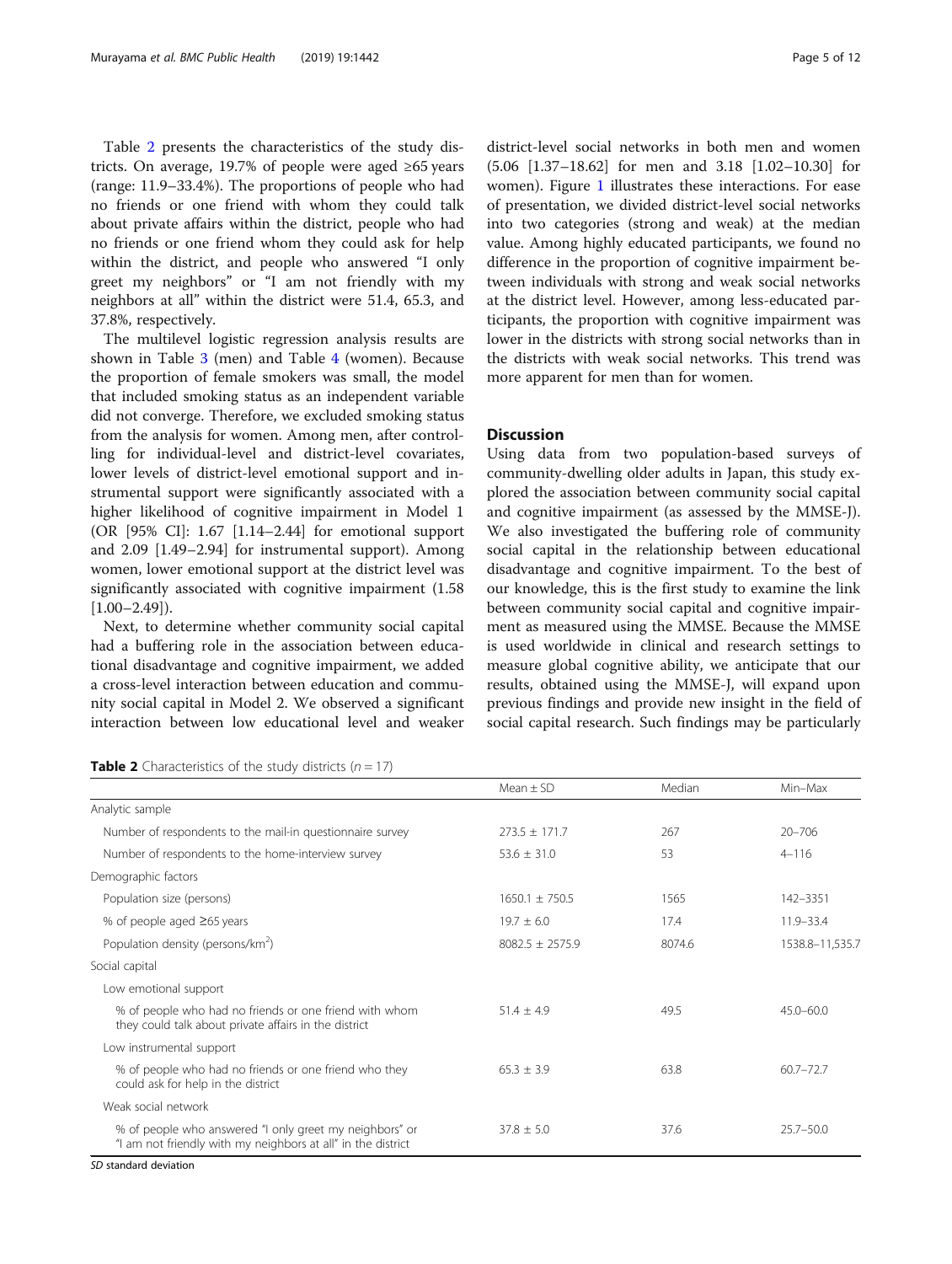Table 2 presents the characteristics of the study districts. On average, 19.7% of people were aged ≥65 years (range: 11.9–33.4%). The proportions of people who had no friends or one friend with whom they could talk about private affairs within the district, people who had no friends or one friend whom they could ask for help within the district, and people who answered "I only greet my neighbors" or "I am not friendly with my neighbors at all" within the district were 51.4, 65.3, and 37.8%, respectively.

The multilevel logistic regression analysis results are shown in Table [3](#page-5-0) (men) and Table [4](#page-7-0) (women). Because the proportion of female smokers was small, the model that included smoking status as an independent variable did not converge. Therefore, we excluded smoking status from the analysis for women. Among men, after controlling for individual-level and district-level covariates, lower levels of district-level emotional support and instrumental support were significantly associated with a higher likelihood of cognitive impairment in Model 1 (OR [95% CI]: 1.67 [1.14–2.44] for emotional support and 2.09 [1.49–2.94] for instrumental support). Among women, lower emotional support at the district level was significantly associated with cognitive impairment (1.58  $[1.00-2.49]$ ).

Next, to determine whether community social capital had a buffering role in the association between educational disadvantage and cognitive impairment, we added a cross-level interaction between education and community social capital in Model 2. We observed a significant interaction between low educational level and weaker

**Table 2** Characteristics of the study districts ( $n = 17$ )

district-level social networks in both men and women (5.06 [1.37–18.62] for men and 3.18 [1.02–10.30] for women). Figure [1](#page-9-0) illustrates these interactions. For ease of presentation, we divided district-level social networks into two categories (strong and weak) at the median value. Among highly educated participants, we found no difference in the proportion of cognitive impairment between individuals with strong and weak social networks at the district level. However, among less-educated participants, the proportion with cognitive impairment was lower in the districts with strong social networks than in the districts with weak social networks. This trend was more apparent for men than for women.

# **Discussion**

Using data from two population-based surveys of community-dwelling older adults in Japan, this study explored the association between community social capital and cognitive impairment (as assessed by the MMSE-J). We also investigated the buffering role of community social capital in the relationship between educational disadvantage and cognitive impairment. To the best of our knowledge, this is the first study to examine the link between community social capital and cognitive impairment as measured using the MMSE. Because the MMSE is used worldwide in clinical and research settings to measure global cognitive ability, we anticipate that our results, obtained using the MMSE-J, will expand upon previous findings and provide new insight in the field of social capital research. Such findings may be particularly

|                                                                                                                         | Mean $\pm$ SD      | Median | Min-Max         |
|-------------------------------------------------------------------------------------------------------------------------|--------------------|--------|-----------------|
| Analytic sample                                                                                                         |                    |        |                 |
| Number of respondents to the mail-in questionnaire survey                                                               | $273.5 \pm 171.7$  | 267    | $20 - 706$      |
| Number of respondents to the home-interview survey                                                                      | $53.6 + 31.0$      | 53     | $4 - 116$       |
| Demographic factors                                                                                                     |                    |        |                 |
| Population size (persons)                                                                                               | $1650.1 \pm 750.5$ | 1565   | 142-3351        |
| % of people aged $\geq 65$ years                                                                                        | $19.7 \pm 6.0$     | 17.4   | 11.9-33.4       |
| Population density (persons/km <sup>2</sup> )                                                                           | $8082.5 + 2575.9$  | 8074.6 | 1538.8-11,535.7 |
| Social capital                                                                                                          |                    |        |                 |
| Low emotional support                                                                                                   |                    |        |                 |
| % of people who had no friends or one friend with whom<br>they could talk about private affairs in the district         | $51.4 + 4.9$       | 49.5   | $45.0 - 60.0$   |
| Low instrumental support                                                                                                |                    |        |                 |
| % of people who had no friends or one friend who they<br>could ask for help in the district                             | $65.3 + 3.9$       | 63.8   | $60.7 - 72.7$   |
| Weak social network                                                                                                     |                    |        |                 |
| % of people who answered "I only greet my neighbors" or<br>"I am not friendly with my neighbors at all" in the district | $37.8 \pm 5.0$     | 37.6   | $25.7 - 50.0$   |
|                                                                                                                         |                    |        |                 |

SD standard deviation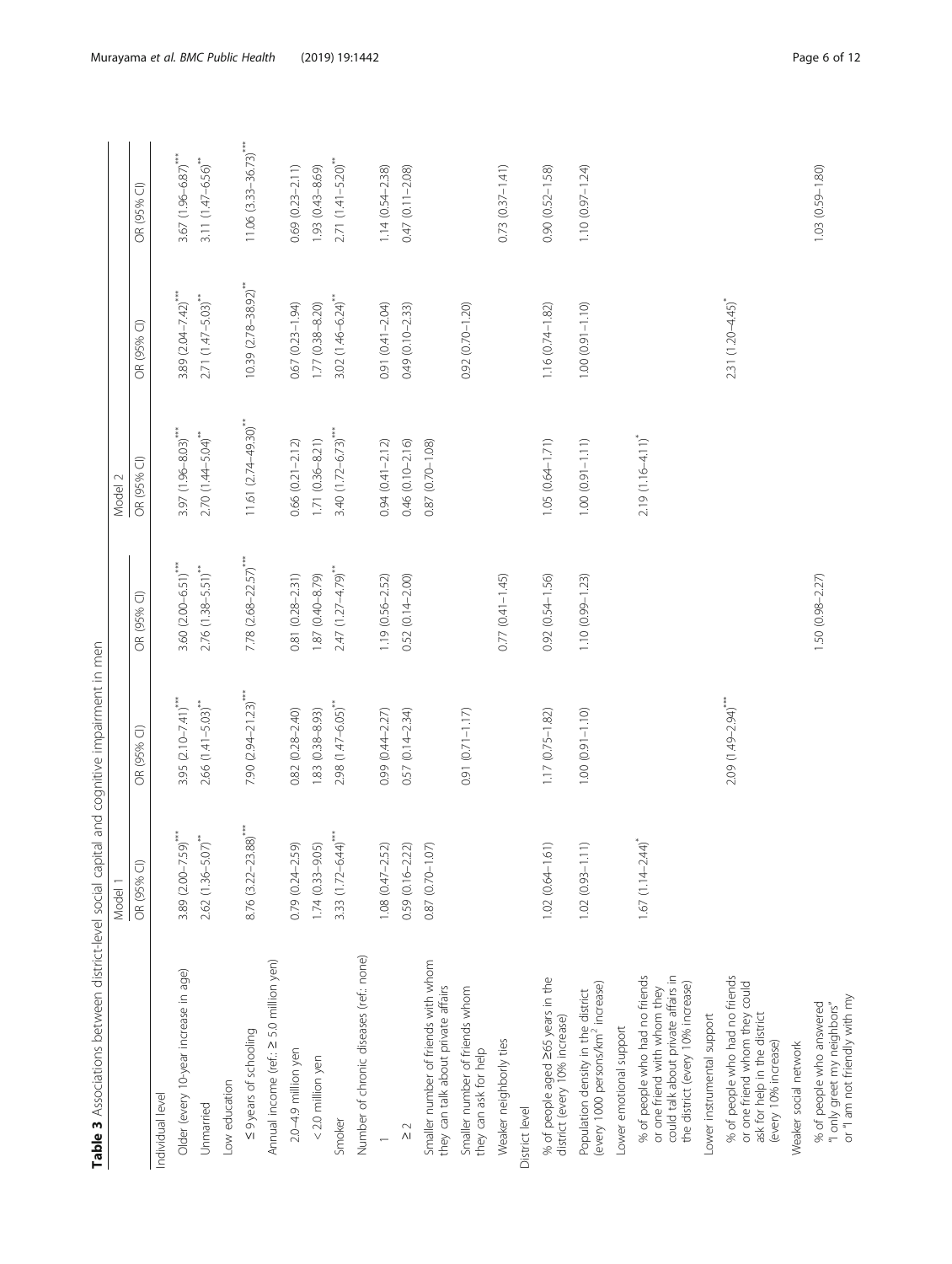<span id="page-5-0"></span>

|                                                                                                                                            | Model 1                          |                                      |                                  | Model 2                     |                                      |                                        |
|--------------------------------------------------------------------------------------------------------------------------------------------|----------------------------------|--------------------------------------|----------------------------------|-----------------------------|--------------------------------------|----------------------------------------|
|                                                                                                                                            | $\widehat{\bigcirc}$<br>OR (95%  | OR (95% CI)                          | OR (95% CI)                      | $\widehat{\cup}$<br>OR (95% | OR (95% CI)                          | OR (95% CI)                            |
| Individual level                                                                                                                           |                                  |                                      |                                  |                             |                                      |                                        |
| Older (every 10-year increase in age)                                                                                                      | 3.89 $(2.00-7.59)$ ***           | 3.95 $(2.10 - 7.41)^{***}$           | $3.60 (2.00 - 6.51)$             | $3.97(1.96 - 8.03)$ ***     | $3.89(2.04 - 7.42)$                  | $3.67$ (1.96-6.87) <sup>****</sup>     |
| Unmarried                                                                                                                                  | $2.62$ (1.36-5.07) <sup>**</sup> | $2.66$ $(1.41 - 5.03)$ <sup>**</sup> | $2.76$ (1.38-5.51) <sup>**</sup> | $2.70(1.44 - 5.04)$         | $2.71 (1.47 - 5.03)$ **              | $3.11(1.47 - 6.56)$ **                 |
| Low education                                                                                                                              |                                  |                                      |                                  |                             |                                      |                                        |
| ≤ 9 years of schooling                                                                                                                     | $8.76$ $(3.22 - 23.88)$          | 7.90 $(2.94 - 21.23)$ ***            | $7.78$ $(2.68 - 22.57)$ ***      | $11.61 (2.74 - 49.30)$ **   | $10.39$ $(2.78-38.92)$ <sup>**</sup> | $11.06$ $(3.33-36.73)$ <sup>****</sup> |
| Annual income (ref : ≥ 5.0 million yen)                                                                                                    |                                  |                                      |                                  |                             |                                      |                                        |
| 2.0-4.9 million yen                                                                                                                        | $0.79(0.24 - 2.59)$              | $0.82(0.28 - 2.40)$                  | $0.81(0.28 - 2.31)$              | $0.66$ $(0.21 - 2.12)$      | $0.67(0.23 - 1.94)$                  | $0.69(0.23 - 2.11)$                    |
| $<$ 2.0 million yen                                                                                                                        | $1.74(0.33 - 9.05)$              | 1.83 (0.38-8.93)                     | 1.87 (0.40-8.79)                 | 1.71 (0.36-8.21)            | $1.77(0.38 - 8.20)$                  | 1.93 (0.43-8.69)                       |
| Smoker                                                                                                                                     | 3.33 $(1.72 - 6.44)$             | 2.98 (1.47-6.05)                     | $2.47$ (1.27-4.79) <sup>**</sup> | $3.40(1.72 - 6.73)$         | $3.02(1.46 - 6.24)^{**}$             | $2.71(1.41 - 5.20)$ <sup>***</sup>     |
| Number of chronic diseases (ref.: none)                                                                                                    |                                  |                                      |                                  |                             |                                      |                                        |
|                                                                                                                                            | $1.08(0.47 - 2.52)$              | 0.99 (0.44-2.27)                     | 1.19 (0.56-2.52)                 | $0.94(0.41 - 2.12)$         | 0.91 (0.41-2.04)                     | $1.14(0.54 - 2.38)$                    |
| $\frac{2}{\sqrt{2}}$                                                                                                                       | $0.59(0.16 - 2.22)$              | $0.57(0.14 - 2.34)$                  | $0.52(0.14 - 2.00)$              | 0.46 (0.10-2.16)            | $0.49(0.10 - 2.33)$                  | $0.47(0.11 - 2.08)$                    |
| Smaller number of friends with whom<br>they can talk about private affairs                                                                 | 0.87 (0.70-1.07)                 |                                      |                                  | 0.87 (0.70-1.08)            |                                      |                                        |
| Smaller number of friends whom<br>they can ask for help                                                                                    |                                  | $0.91(0.71 - 1.17)$                  |                                  |                             | $0.92(0.70 - 1.20)$                  |                                        |
| Weaker neighborly ties                                                                                                                     |                                  |                                      | $0.77(0.41 - 1.45)$              |                             |                                      | $0.73(0.37 - 1.41)$                    |
| District level                                                                                                                             |                                  |                                      |                                  |                             |                                      |                                        |
| % of people aged 265 years in the<br>district (every 10% increase)                                                                         | $1.02(0.64 - 1.61)$              | $1.17(0.75 - 1.82)$                  | $0.92(0.54 - 1.56)$              | $1.05(0.64 - 1.71)$         | $1.16(0.74 - 1.82)$                  | $0.90(0.52 - 1.58)$                    |
| (every 1000 persons/km <sup>2</sup> increase)<br>Population density in the district                                                        | $1.02(0.93 - 1.11)$              | $1.00(0.91 - 1.0)$                   | $1.10(0.99 - 1.23)$              | $1.00(0.91 - 1.11)$         | $1.00(0.91 - 1.10)$                  | $1.10(0.97 - 1.24)$                    |
| Lower emotional support                                                                                                                    |                                  |                                      |                                  |                             |                                      |                                        |
| could talk about private affairs in<br>% of people who had no friends<br>the district (every 10% increase)<br>or one friend with whom they | $1.67(1.14 - 2.44)^{*}$          |                                      |                                  | $2.19(1.16 - 4.11)^{*}$     |                                      |                                        |
| Lower instrumental support                                                                                                                 |                                  |                                      |                                  |                             |                                      |                                        |
| % of people who had no friends<br>or one friend whom they could<br>ask for help in the district<br>(every 10% increase)                    |                                  | 2.09 (1.49-2.94)                     |                                  |                             | 2.31 (1.20-4.45)                     |                                        |
| Weaker social network                                                                                                                      |                                  |                                      |                                  |                             |                                      |                                        |
| "I only greet my neighbors"<br>or "I am not friendly with my<br>% of people who answered                                                   |                                  |                                      | $1.50(0.98 - 2.27)$              |                             |                                      | $1.03(0.59 - 1.80)$                    |

Table 3 Associations between district-level social capital and cognitive impairment in men Table 3 Associations between district-level social capital and cognitive impairment in men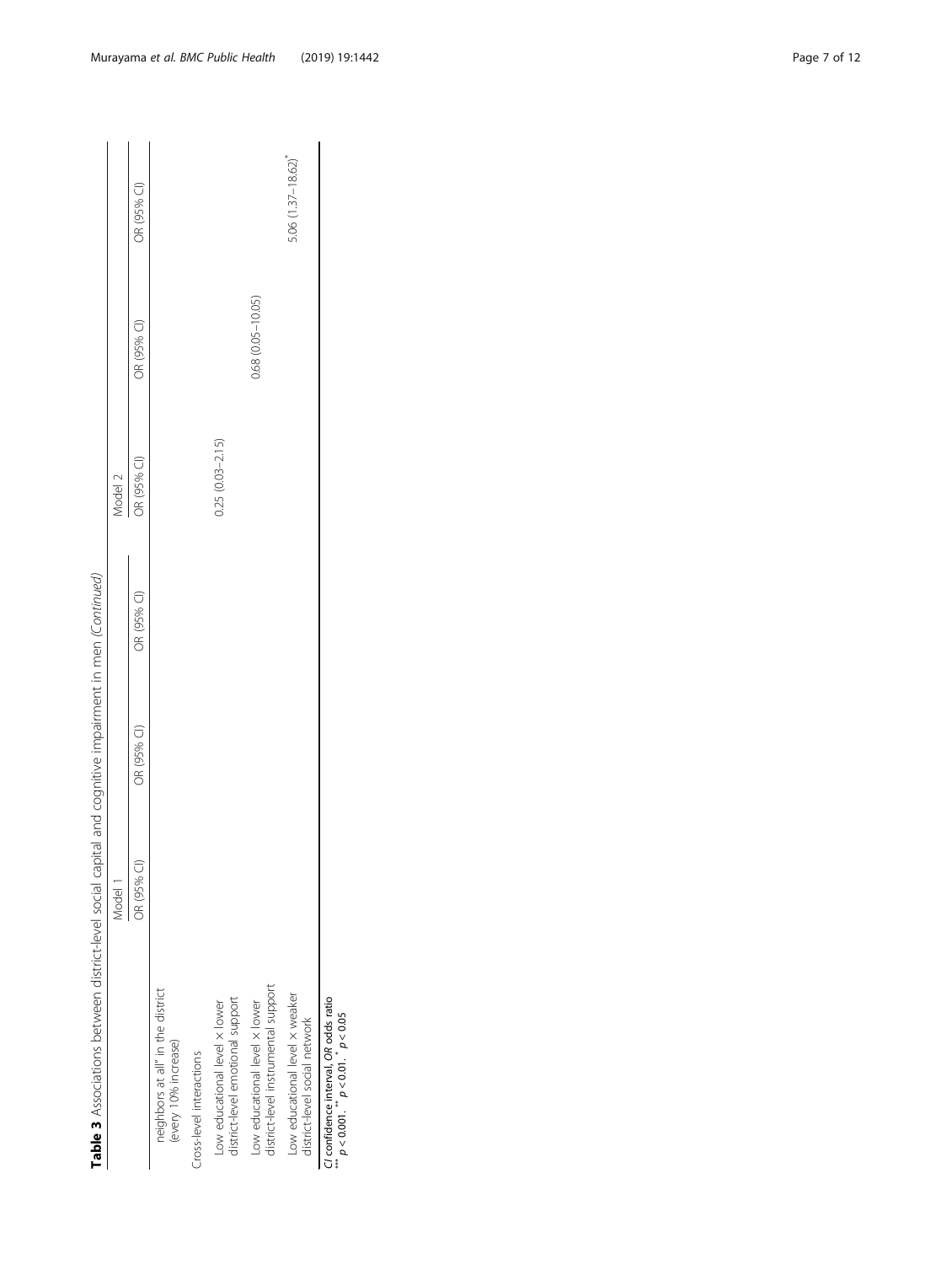Table 3 Associations between district-level social capital and cognitive impairment in men (Continued) Table 3 Associations between district-level social capital and cognitive impairment in men (Continued)

|                                                                                | Model 1     |             |             | Model 2             |                         |                      |
|--------------------------------------------------------------------------------|-------------|-------------|-------------|---------------------|-------------------------|----------------------|
|                                                                                | OR (95% CI) | OR (95% CI) | OR (95% CI) | OR (95% CI)         | OR (95% CI)             | OR (95% CI)          |
| neighbors at all" in the district<br>(every 10% increase)                      |             |             |             |                     |                         |                      |
| Cross-level interactions                                                       |             |             |             |                     |                         |                      |
| district-level emotional support<br>Low educational level x lower              |             |             |             | $0.25(0.03 - 2.15)$ |                         |                      |
| district-level instrumental support<br>Low educational level x lower           |             |             |             |                     | $0.68$ $(0.05 - 10.05)$ |                      |
| Low educational level x weaker<br>district-level social network                |             |             |             |                     |                         | $5.06(1.37 - 18.62)$ |
| CI confidence interval, OR odds ratio<br>$p < 0.001$ . $p < 0.01$ . $p < 0.05$ |             |             |             |                     |                         |                      |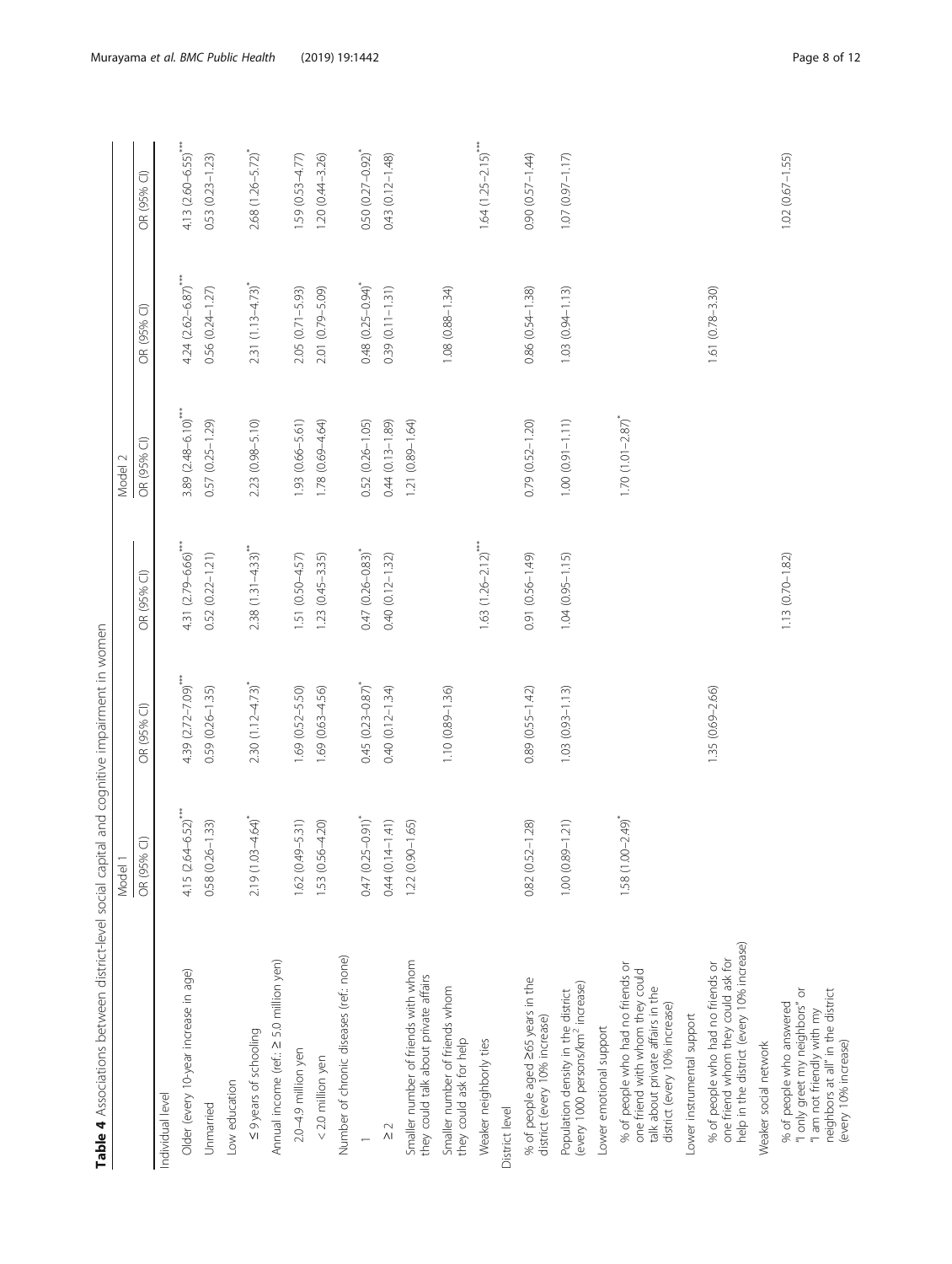<span id="page-7-0"></span>

| Table 4 Associations between district-level social capital and cognitive impairment in women                                                          | Model 1                 |                      |                                 | Model 2                      |                                   |                                       |
|-------------------------------------------------------------------------------------------------------------------------------------------------------|-------------------------|----------------------|---------------------------------|------------------------------|-----------------------------------|---------------------------------------|
|                                                                                                                                                       | OR (95% CI)             | OR (95% CI)          | OR (95% CI)                     | OR (95% CI)                  | OR (95% CI)                       | OR (95% CI)                           |
| Individual level                                                                                                                                      |                         |                      |                                 |                              |                                   |                                       |
| Older (every 10-year increase in age)                                                                                                                 | $4.15 (2.64 - 6.52)$    | 4.39 $(2.72 - 7.09)$ | 4.31 (2.79-6.66)                | $3.89$ $(2.48 - 6.10)^{***}$ | $4.24 (2.62 - 6.87)$ ***          | $4.13 (2.60 - 6.55)$                  |
| Unmarried                                                                                                                                             | $0.58(0.26 - 1.33)$     | $0.59(0.26 - 1.35)$  | $0.52(0.22 - 1.21)$             | $0.57$ $(0.25 - 1.29)$       | 0.56 (0.24-1.27)                  | $0.53(0.23 - 1.23)$                   |
| Low education                                                                                                                                         |                         |                      |                                 |                              |                                   |                                       |
| ≤ 9 years of schooling                                                                                                                                | $2.19(1.03 - 4.64)$     | $2.30(1.12 - 4.73)$  | $2.38(1.31-4.33)$ <sup>**</sup> | 2.23 (0.98-5.10)             | $2.31$ (1.13 - 4.73) <sup>*</sup> | 2.68 (1.26-5.72)                      |
| Annual income (ref.: 2 5.0 million yen)                                                                                                               |                         |                      |                                 |                              |                                   |                                       |
| 2.0-4.9 million yen                                                                                                                                   | $1.62(0.49 - 5.31)$     | 1.69 (0.52-5.50)     | 1.51 (0.50-4.57)                | 1.93 (0.66-5.61)             | $2.05(0.71 - 5.93)$               | $1.59(0.53 - 4.77)$                   |
| < 2.0 million yen                                                                                                                                     | $1.53(0.56 - 4.20)$     | $1.69(0.63 - 4.56)$  | $1.23(0.45 - 3.35)$             | $1.78(0.69 - 4.64)$          | 2.01 (0.79-5.09)                  | $1.20(0.44 - 3.26)$                   |
| Number of chronic diseases (ref.: none)                                                                                                               |                         |                      |                                 |                              |                                   |                                       |
| $\overline{\phantom{0}}$                                                                                                                              | $0.47(0.25 - 0.91)^{*}$ | $0.45(0.23 - 0.87)$  | $0.47(0.26 - 0.83)$             | $0.52(0.26 - 1.05)$          | $0.48$ $(0.25 - 0.94)$            | $0.50(0.27 - 0.92)^{*}$               |
| $\frac{2}{\sqrt{2}}$                                                                                                                                  | $0.44(0.14 - 1.41)$     | $0.40(0.12 - 1.34)$  | $0.40(0.12 - 1.32)$             | $0.44(0.13 - 1.89)$          | $0.39(0.11 - 1.31)$               | $0.43(0.12 - 1.48)$                   |
| Smaller number of friends with whom<br>they could talk about private affairs                                                                          | $1.22(0.90 - 1.65)$     |                      |                                 | $1.21(0.89 - 1.64)$          |                                   |                                       |
| Smaller number of friends whom<br>they could ask for help                                                                                             |                         | $1.10(0.89 - 1.36)$  |                                 |                              | $1.08$ $(0.88 - 1.34)$            |                                       |
| Weaker neighborly ties                                                                                                                                |                         |                      | $1.63$ $(1.26 - 2.12)$          |                              |                                   | $1.64$ $(1.25 - 2.15)$ <sup>***</sup> |
| District level                                                                                                                                        |                         |                      |                                 |                              |                                   |                                       |
| % of people aged 265 years in the<br>district (every 10% increase)                                                                                    | $0.82(0.52 - 1.28)$     | $0.89(0.55 - 1.42)$  | 0.91 (0.56-1.49)                | $0.79(0.52 - 1.20)$          | 0.86 (0.54-1.38)                  | $0.90(0.57 - 1.44)$                   |
| (every 1000 persons/km <sup>2</sup> increase)<br>Population density in the district                                                                   | $1.00(0.89 - 1.21)$     | $1.03(0.93 - 1.13)$  | $1.04(0.95 - 1.15)$             | $1.00 (0.91 - 1.11)$         | $1.03(0.94 - 1.13)$               | $1.07(0.97 - 1.17)$                   |
| Lower emotional support                                                                                                                               |                         |                      |                                 |                              |                                   |                                       |
| % of people who had no friends or<br>one friend with whom they could<br>talk about private affairs in the<br>district (every 10% increase)            | $1.58(1.00 - 2.49)$     |                      |                                 | $1.70$ $(1.01 - 2.87)^{*}$   |                                   |                                       |
| Lower instrumental support                                                                                                                            |                         |                      |                                 |                              |                                   |                                       |
| help in the district (every 10% increase)<br>one friend whom they could ask for<br>% of people who had no friends or                                  |                         | 1.35 (0.69-2.66)     |                                 |                              | $1.61(0.78 - 3.30)$               |                                       |
| Weaker social network                                                                                                                                 |                         |                      |                                 |                              |                                   |                                       |
| neighbors at all" in the district<br>"I only greet my neighbors" or<br>% of people who answered<br>"I am not friendly with my<br>(every 10% increase) |                         |                      | $1.13(0.70 - 1.82)$             |                              |                                   | $1.02(0.67 - 1.55)$                   |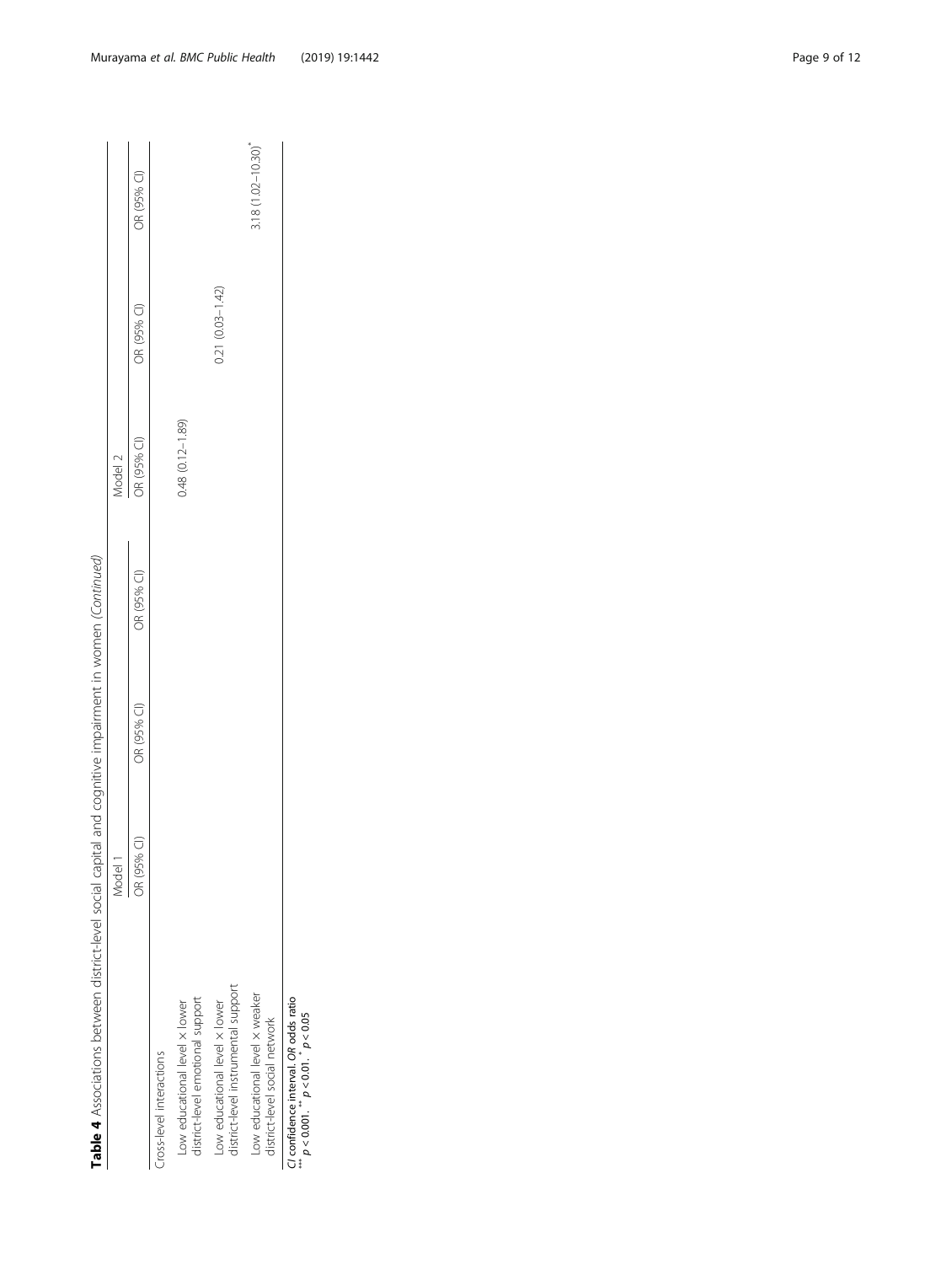|                                                                                | Model 1      |             |             | Model 2             |                     |                      |
|--------------------------------------------------------------------------------|--------------|-------------|-------------|---------------------|---------------------|----------------------|
|                                                                                | 5<br>OR (95% | OR (95% CI) | OR (95% CI) | OR (95% CI)         | OR (95% CI)         | OR (95% CI)          |
| Cross-level interactions                                                       |              |             |             |                     |                     |                      |
| district-level emotional support<br>Low educational level x lower              |              |             |             | $0.48(0.12 - 1.89)$ |                     |                      |
| district-level instrumental support<br>Low educational level x lower           |              |             |             |                     | $0.21(0.03 - 1.42)$ |                      |
| Low educational level x weaker<br>district-level social network                |              |             |             |                     |                     | $3.18(1.02 - 10.30)$ |
| CI confidence interval. OR odds ratio<br>$p < 0.001$ . $p < 0.01$ . $p < 0.05$ |              |             |             |                     |                     |                      |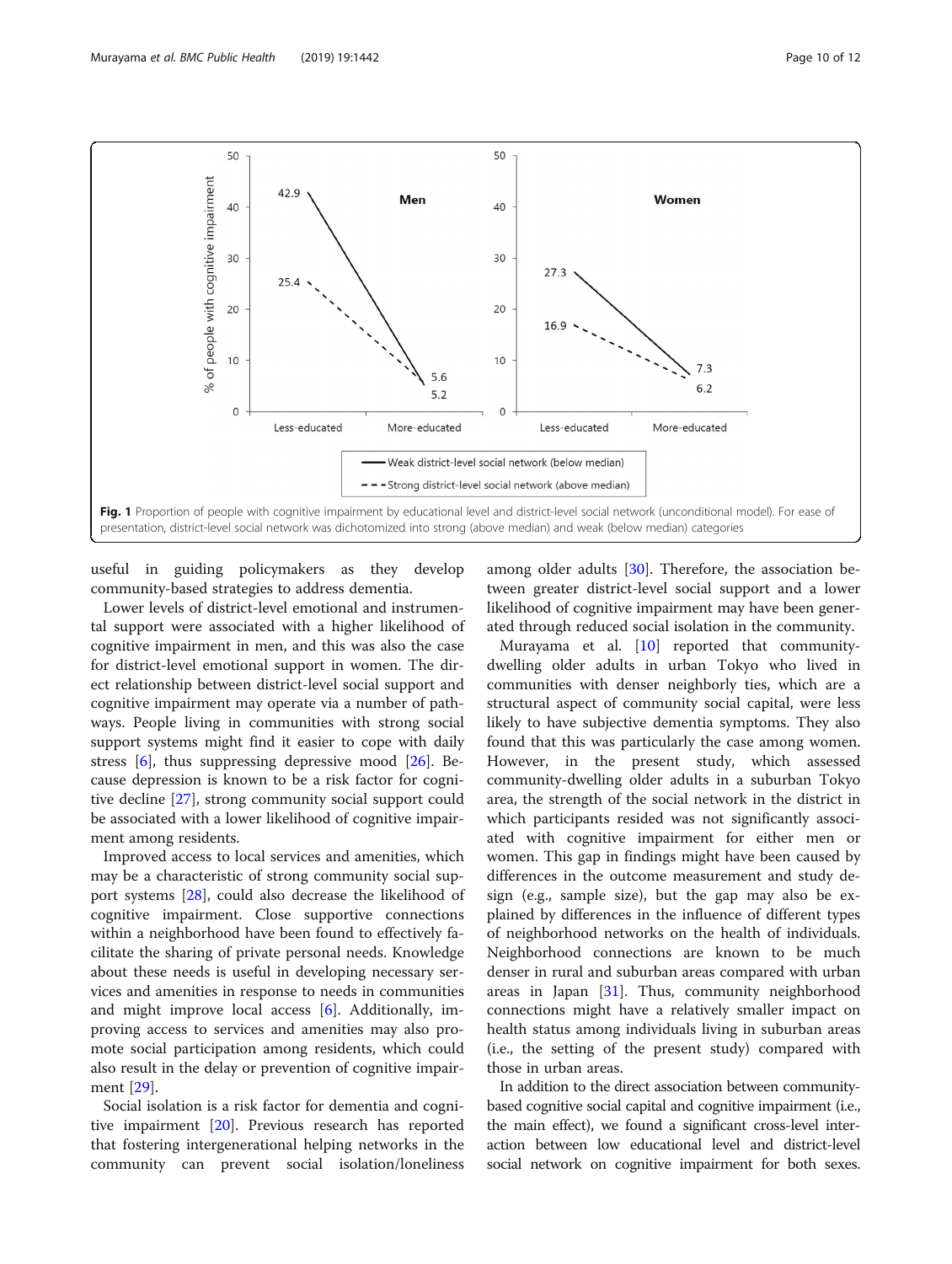<span id="page-9-0"></span>

useful in guiding policymakers as they develop community-based strategies to address dementia.

Lower levels of district-level emotional and instrumental support were associated with a higher likelihood of cognitive impairment in men, and this was also the case for district-level emotional support in women. The direct relationship between district-level social support and cognitive impairment may operate via a number of pathways. People living in communities with strong social support systems might find it easier to cope with daily stress  $[6]$  $[6]$ , thus suppressing depressive mood  $[26]$  $[26]$  $[26]$ . Because depression is known to be a risk factor for cognitive decline [[27\]](#page-11-0), strong community social support could be associated with a lower likelihood of cognitive impairment among residents.

Improved access to local services and amenities, which may be a characteristic of strong community social support systems [[28](#page-11-0)], could also decrease the likelihood of cognitive impairment. Close supportive connections within a neighborhood have been found to effectively facilitate the sharing of private personal needs. Knowledge about these needs is useful in developing necessary services and amenities in response to needs in communities and might improve local access [\[6](#page-11-0)]. Additionally, improving access to services and amenities may also promote social participation among residents, which could also result in the delay or prevention of cognitive impairment [[29\]](#page-11-0).

Social isolation is a risk factor for dementia and cognitive impairment [\[20\]](#page-11-0). Previous research has reported that fostering intergenerational helping networks in the community can prevent social isolation/loneliness among older adults [[30](#page-11-0)]. Therefore, the association between greater district-level social support and a lower likelihood of cognitive impairment may have been generated through reduced social isolation in the community.

Murayama et al. [\[10](#page-11-0)] reported that communitydwelling older adults in urban Tokyo who lived in communities with denser neighborly ties, which are a structural aspect of community social capital, were less likely to have subjective dementia symptoms. They also found that this was particularly the case among women. However, in the present study, which assessed community-dwelling older adults in a suburban Tokyo area, the strength of the social network in the district in which participants resided was not significantly associated with cognitive impairment for either men or women. This gap in findings might have been caused by differences in the outcome measurement and study design (e.g., sample size), but the gap may also be explained by differences in the influence of different types of neighborhood networks on the health of individuals. Neighborhood connections are known to be much denser in rural and suburban areas compared with urban areas in Japan [[31\]](#page-11-0). Thus, community neighborhood connections might have a relatively smaller impact on health status among individuals living in suburban areas (i.e., the setting of the present study) compared with those in urban areas.

In addition to the direct association between communitybased cognitive social capital and cognitive impairment (i.e., the main effect), we found a significant cross-level interaction between low educational level and district-level social network on cognitive impairment for both sexes.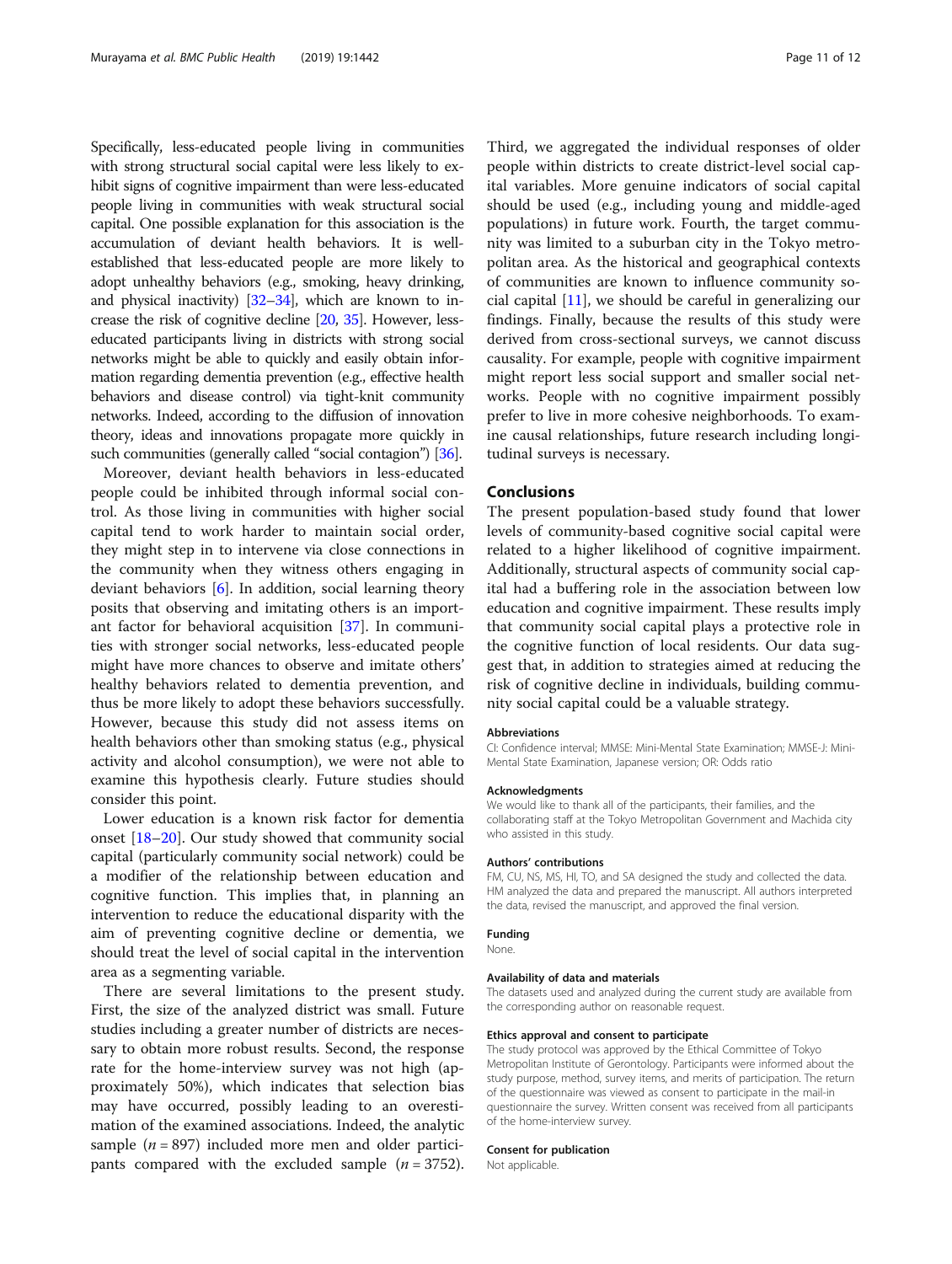Specifically, less-educated people living in communities with strong structural social capital were less likely to exhibit signs of cognitive impairment than were less-educated people living in communities with weak structural social capital. One possible explanation for this association is the accumulation of deviant health behaviors. It is wellestablished that less-educated people are more likely to adopt unhealthy behaviors (e.g., smoking, heavy drinking, and physical inactivity)  $[32-34]$  $[32-34]$  $[32-34]$ , which are known to increase the risk of cognitive decline [\[20,](#page-11-0) [35\]](#page-11-0). However, lesseducated participants living in districts with strong social networks might be able to quickly and easily obtain information regarding dementia prevention (e.g., effective health behaviors and disease control) via tight-knit community networks. Indeed, according to the diffusion of innovation theory, ideas and innovations propagate more quickly in such communities (generally called "social contagion") [[36](#page-11-0)].

Moreover, deviant health behaviors in less-educated people could be inhibited through informal social control. As those living in communities with higher social capital tend to work harder to maintain social order, they might step in to intervene via close connections in the community when they witness others engaging in deviant behaviors [[6\]](#page-11-0). In addition, social learning theory posits that observing and imitating others is an important factor for behavioral acquisition [[37](#page-11-0)]. In communities with stronger social networks, less-educated people might have more chances to observe and imitate others' healthy behaviors related to dementia prevention, and thus be more likely to adopt these behaviors successfully. However, because this study did not assess items on health behaviors other than smoking status (e.g., physical activity and alcohol consumption), we were not able to examine this hypothesis clearly. Future studies should consider this point.

Lower education is a known risk factor for dementia onset [\[18](#page-11-0)–[20\]](#page-11-0). Our study showed that community social capital (particularly community social network) could be a modifier of the relationship between education and cognitive function. This implies that, in planning an intervention to reduce the educational disparity with the aim of preventing cognitive decline or dementia, we should treat the level of social capital in the intervention area as a segmenting variable.

There are several limitations to the present study. First, the size of the analyzed district was small. Future studies including a greater number of districts are necessary to obtain more robust results. Second, the response rate for the home-interview survey was not high (approximately 50%), which indicates that selection bias may have occurred, possibly leading to an overestimation of the examined associations. Indeed, the analytic sample ( $n = 897$ ) included more men and older participants compared with the excluded sample  $(n = 3752)$ .

Third, we aggregated the individual responses of older people within districts to create district-level social capital variables. More genuine indicators of social capital should be used (e.g., including young and middle-aged populations) in future work. Fourth, the target community was limited to a suburban city in the Tokyo metropolitan area. As the historical and geographical contexts of communities are known to influence community social capital [[11\]](#page-11-0), we should be careful in generalizing our findings. Finally, because the results of this study were derived from cross-sectional surveys, we cannot discuss causality. For example, people with cognitive impairment might report less social support and smaller social networks. People with no cognitive impairment possibly prefer to live in more cohesive neighborhoods. To examine causal relationships, future research including longitudinal surveys is necessary.

# Conclusions

The present population-based study found that lower levels of community-based cognitive social capital were related to a higher likelihood of cognitive impairment. Additionally, structural aspects of community social capital had a buffering role in the association between low education and cognitive impairment. These results imply that community social capital plays a protective role in the cognitive function of local residents. Our data suggest that, in addition to strategies aimed at reducing the risk of cognitive decline in individuals, building community social capital could be a valuable strategy.

### Abbreviations

CI: Confidence interval; MMSE: Mini-Mental State Examination; MMSE-J: Mini-Mental State Examination, Japanese version; OR: Odds ratio

### Acknowledgments

We would like to thank all of the participants, their families, and the collaborating staff at the Tokyo Metropolitan Government and Machida city who assisted in this study.

# Authors' contributions

FM, CU, NS, MS, HI, TO, and SA designed the study and collected the data. HM analyzed the data and prepared the manuscript. All authors interpreted the data, revised the manuscript, and approved the final version.

# Funding

None.

#### Availability of data and materials

The datasets used and analyzed during the current study are available from the corresponding author on reasonable request.

#### Ethics approval and consent to participate

The study protocol was approved by the Ethical Committee of Tokyo Metropolitan Institute of Gerontology. Participants were informed about the study purpose, method, survey items, and merits of participation. The return of the questionnaire was viewed as consent to participate in the mail-in questionnaire the survey. Written consent was received from all participants of the home-interview survey.

# Consent for publication

Not applicable.